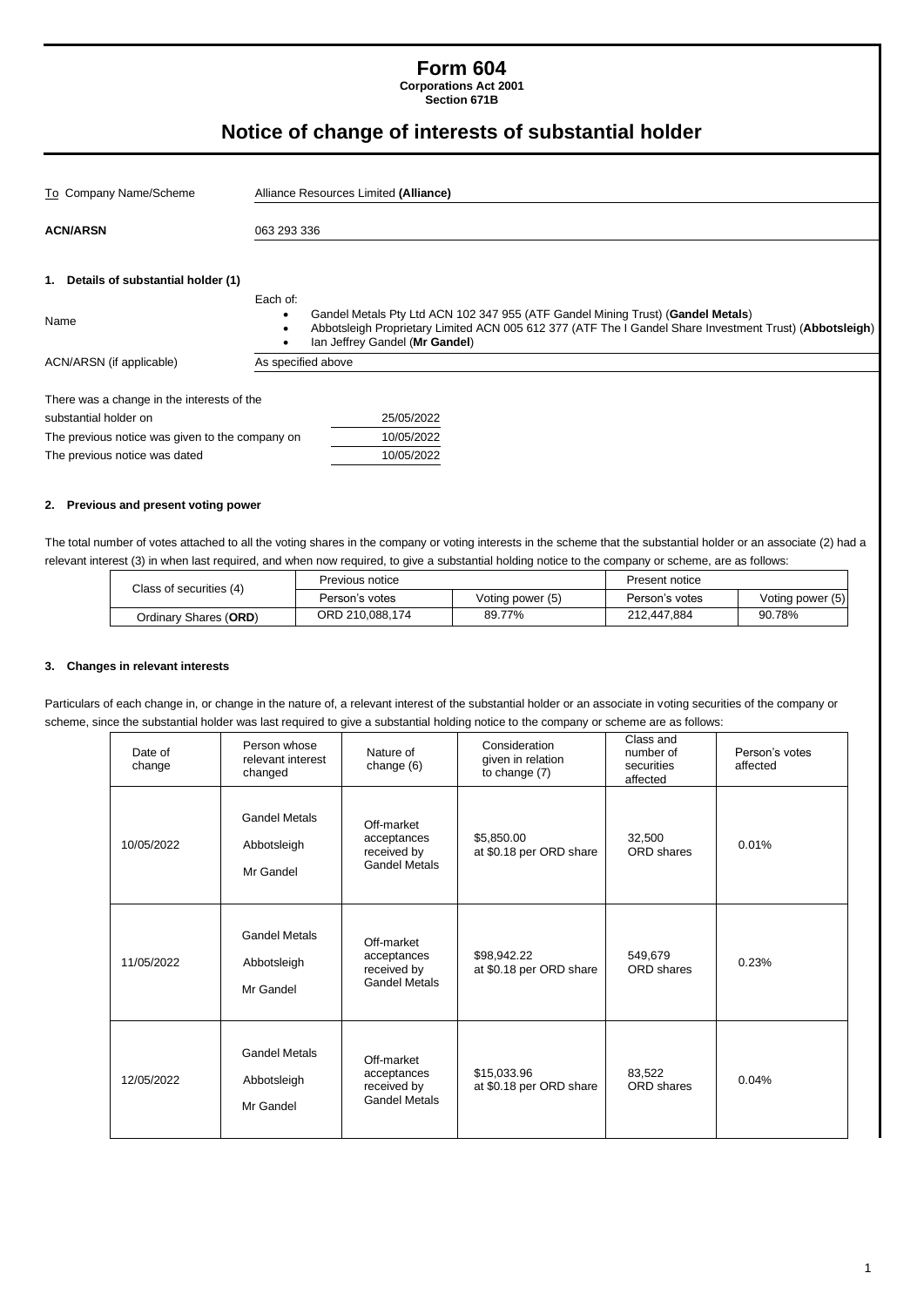# **Form 604**

**Corporations Act 2001 Section 671B**

# **Notice of change of interests of substantial holder**

| To Company Name/Scheme                          | Alliance Resources Limited (Alliance)                                                                                                                                                                                                    |  |  |  |
|-------------------------------------------------|------------------------------------------------------------------------------------------------------------------------------------------------------------------------------------------------------------------------------------------|--|--|--|
| <b>ACN/ARSN</b><br>063 293 336                  |                                                                                                                                                                                                                                          |  |  |  |
| 1. Details of substantial holder (1)<br>Name    | Each of:<br>Gandel Metals Pty Ltd ACN 102 347 955 (ATF Gandel Mining Trust) (Gandel Metals)<br>Abbotsleigh Proprietary Limited ACN 005 612 377 (ATF The I Gandel Share Investment Trust) (Abbotsleigh)<br>Ian Jeffrey Gandel (Mr Gandel) |  |  |  |
| ACN/ARSN (if applicable)                        | As specified above                                                                                                                                                                                                                       |  |  |  |
| There was a change in the interests of the      |                                                                                                                                                                                                                                          |  |  |  |
| substantial holder on                           | 25/05/2022                                                                                                                                                                                                                               |  |  |  |
| The previous notice was given to the company on | 10/05/2022                                                                                                                                                                                                                               |  |  |  |
| The previous notice was dated                   | 10/05/2022                                                                                                                                                                                                                               |  |  |  |

#### **2. Previous and present voting power**

The total number of votes attached to all the voting shares in the company or voting interests in the scheme that the substantial holder or an associate (2) had a relevant interest (3) in when last required, and when now required, to give a substantial holding notice to the company or scheme, are as follows:

| Class of securities (4) | Previous notice |                  | Present notice |                  |
|-------------------------|-----------------|------------------|----------------|------------------|
|                         | Person's votes  | Voting power (5) | Person's votes | Voting power (5) |
| Ordinary Shares (ORD)   | ORD 210,088,174 | 89.77%           | 212,447,884    | 90.78%           |

### **3. Changes in relevant interests**

Particulars of each change in, or change in the nature of, a relevant interest of the substantial holder or an associate in voting securities of the company or scheme, since the substantial holder was last required to give a substantial holding notice to the company or scheme are as follows:

| Date of<br>change | Person whose<br>relevant interest<br>changed     | Nature of<br>change (6)                                          | Consideration<br>given in relation<br>to change (7) | Class and<br>number of<br>securities<br>affected | Person's votes<br>affected |
|-------------------|--------------------------------------------------|------------------------------------------------------------------|-----------------------------------------------------|--------------------------------------------------|----------------------------|
| 10/05/2022        | <b>Gandel Metals</b><br>Abbotsleigh<br>Mr Gandel | Off-market<br>acceptances<br>received by<br><b>Gandel Metals</b> | \$5,850.00<br>at \$0.18 per ORD share               | 32,500<br>ORD shares                             | 0.01%                      |
| 11/05/2022        | <b>Gandel Metals</b><br>Abbotsleigh<br>Mr Gandel | Off-market<br>acceptances<br>received by<br><b>Gandel Metals</b> | \$98,942.22<br>at \$0.18 per ORD share              | 549.679<br>ORD shares                            | 0.23%                      |
| 12/05/2022        | <b>Gandel Metals</b><br>Abbotsleigh<br>Mr Gandel | Off-market<br>acceptances<br>received by<br><b>Gandel Metals</b> | \$15,033.96<br>at \$0.18 per ORD share              | 83,522<br>ORD shares                             | 0.04%                      |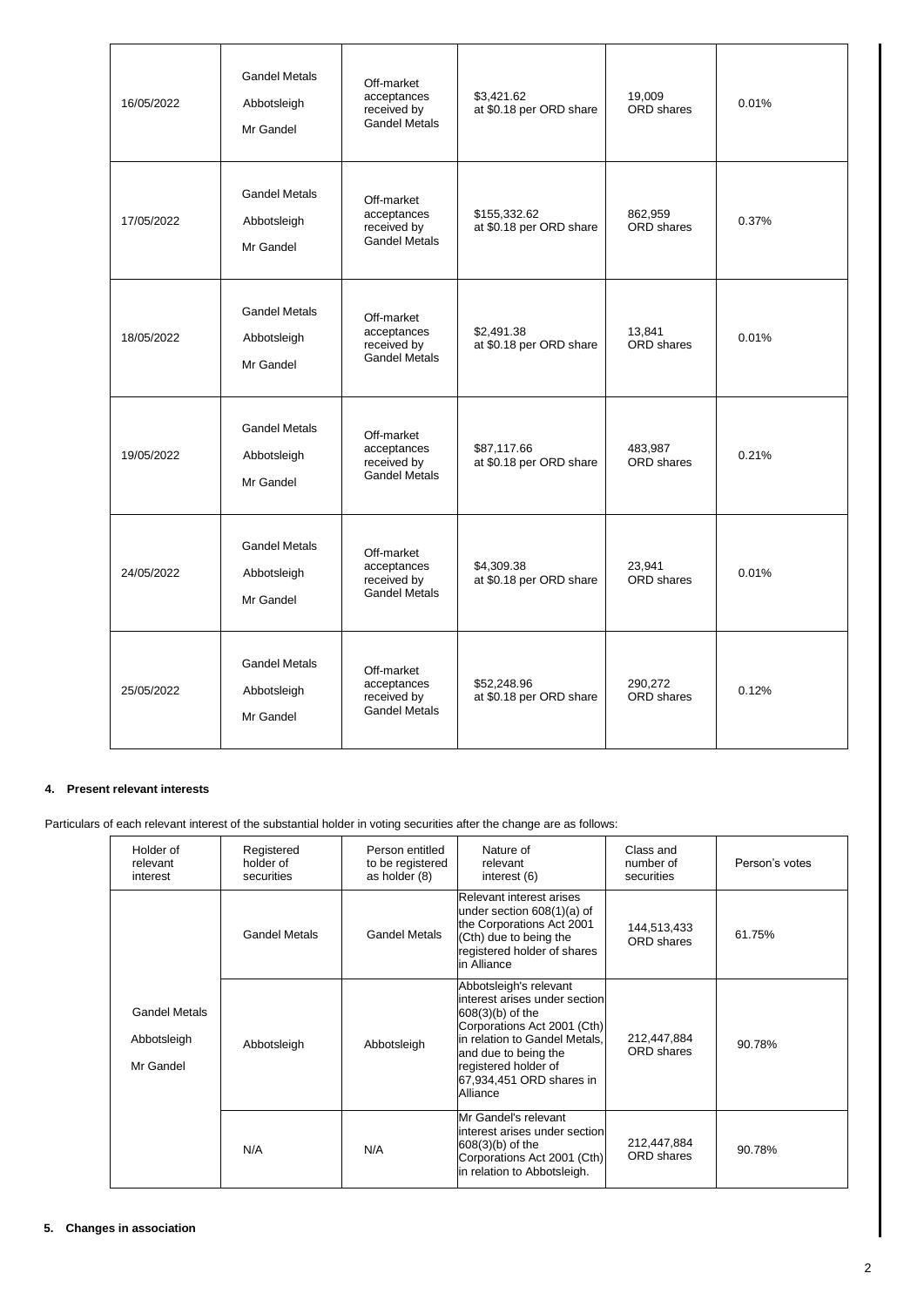| 16/05/2022 | <b>Gandel Metals</b><br>Abbotsleigh<br>Mr Gandel | Off-market<br>acceptances<br>received by<br><b>Gandel Metals</b> | \$3,421.62<br>at \$0.18 per ORD share   | 19,009<br><b>ORD</b> shares  | 0.01% |
|------------|--------------------------------------------------|------------------------------------------------------------------|-----------------------------------------|------------------------------|-------|
| 17/05/2022 | <b>Gandel Metals</b><br>Abbotsleigh<br>Mr Gandel | Off-market<br>acceptances<br>received by<br><b>Gandel Metals</b> | \$155,332.62<br>at \$0.18 per ORD share | 862,959<br>ORD shares        | 0.37% |
| 18/05/2022 | <b>Gandel Metals</b><br>Abbotsleigh<br>Mr Gandel | Off-market<br>acceptances<br>received by<br><b>Gandel Metals</b> | \$2,491.38<br>at \$0.18 per ORD share   | 13,841<br>ORD shares         | 0.01% |
| 19/05/2022 | <b>Gandel Metals</b><br>Abbotsleigh<br>Mr Gandel | Off-market<br>acceptances<br>received by<br><b>Gandel Metals</b> | \$87,117.66<br>at \$0.18 per ORD share  | 483,987<br><b>ORD</b> shares | 0.21% |
| 24/05/2022 | <b>Gandel Metals</b><br>Abbotsleigh<br>Mr Gandel | Off-market<br>acceptances<br>received by<br><b>Gandel Metals</b> | \$4,309.38<br>at \$0.18 per ORD share   | 23,941<br><b>ORD</b> shares  | 0.01% |
| 25/05/2022 | <b>Gandel Metals</b><br>Abbotsleigh<br>Mr Gandel | Off-market<br>acceptances<br>received by<br><b>Gandel Metals</b> | \$52,248.96<br>at \$0.18 per ORD share  | 290.272<br>ORD shares        | 0.12% |

#### **4. Present relevant interests**

Particulars of each relevant interest of the substantial holder in voting securities after the change are as follows:

| Holder of<br>relevant<br>interest                | Registered<br>holder of<br>securities | Person entitled<br>to be registered<br>as holder (8) | Nature of<br>relevant<br>interest (6)                                                                                                                                                                                                 | Class and<br>number of<br>securities | Person's votes |
|--------------------------------------------------|---------------------------------------|------------------------------------------------------|---------------------------------------------------------------------------------------------------------------------------------------------------------------------------------------------------------------------------------------|--------------------------------------|----------------|
|                                                  | <b>Gandel Metals</b>                  | <b>Gandel Metals</b>                                 | Relevant interest arises<br>under section 608(1)(a) of<br>the Corporations Act 2001<br>(Cth) due to being the<br>registered holder of shares<br>in Alliance                                                                           | 144,513,433<br>ORD shares            | 61.75%         |
| <b>Gandel Metals</b><br>Abbotsleigh<br>Mr Gandel | Abbotsleigh                           | Abbotsleigh                                          | Abbotsleigh's relevant<br>interest arises under section<br>$608(3)(b)$ of the<br>Corporations Act 2001 (Cth)<br>in relation to Gandel Metals.<br>and due to being the<br>registered holder of<br>67,934,451 ORD shares in<br>Alliance | 212,447,884<br>ORD shares            | 90.78%         |
|                                                  | N/A                                   | N/A                                                  | Mr Gandel's relevant<br>interest arises under section<br>$608(3)(b)$ of the<br>Corporations Act 2001 (Cth)<br>in relation to Abbotsleigh.                                                                                             | 212,447,884<br><b>ORD</b> shares     | 90.78%         |